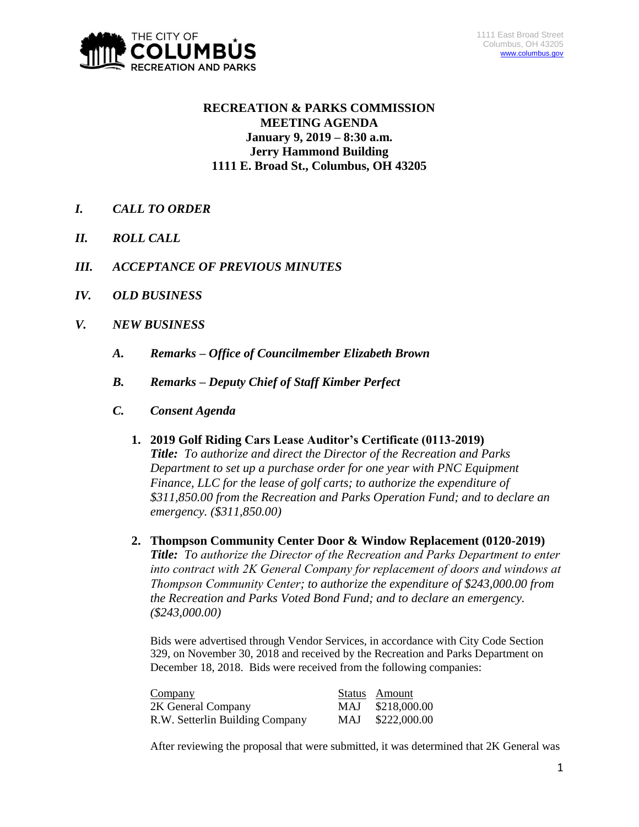

# **RECREATION & PARKS COMMISSION MEETING AGENDA January 9, 2019 – 8:30 a.m. Jerry Hammond Building 1111 E. Broad St., Columbus, OH 43205**

- *I. CALL TO ORDER*
- *II. ROLL CALL*
- *III. ACCEPTANCE OF PREVIOUS MINUTES*
- *IV. OLD BUSINESS*
- *V. NEW BUSINESS*
	- *A. Remarks – Office of Councilmember Elizabeth Brown*
	- *B. Remarks – Deputy Chief of Staff Kimber Perfect*
	- *C. Consent Agenda* 
		- **1. 2019 Golf Riding Cars Lease Auditor's Certificate (0113-2019)** *Title: To authorize and direct the Director of the Recreation and Parks Department to set up a purchase order for one year with PNC Equipment Finance, LLC for the lease of golf carts; to authorize the expenditure of \$311,850.00 from the Recreation and Parks Operation Fund; and to declare an emergency. (\$311,850.00)*
		- **2. Thompson Community Center Door & Window Replacement (0120-2019)** *Title: To authorize the Director of the Recreation and Parks Department to enter into contract with 2K General Company for replacement of doors and windows at Thompson Community Center; to authorize the expenditure of \$243,000.00 from the Recreation and Parks Voted Bond Fund; and to declare an emergency. (\$243,000.00)*

Bids were advertised through Vendor Services, in accordance with City Code Section 329, on November 30, 2018 and received by the Recreation and Parks Department on December 18, 2018. Bids were received from the following companies:

| Company                         |      | Status Amount |
|---------------------------------|------|---------------|
| 2K General Company              | MAJ  | \$218,000.00  |
| R.W. Setterlin Building Company | MAJ. | \$222,000.00  |

After reviewing the proposal that were submitted, it was determined that 2K General was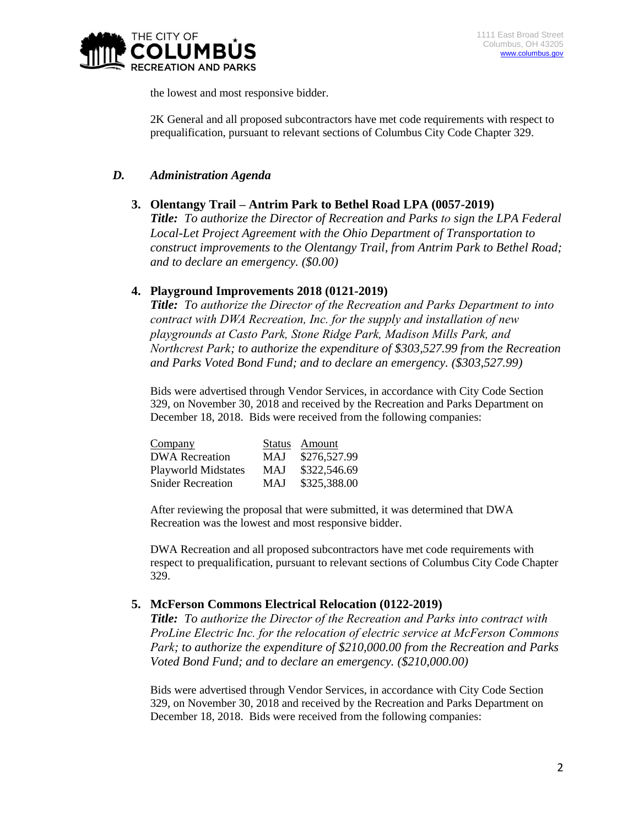

the lowest and most responsive bidder.

2K General and all proposed subcontractors have met code requirements with respect to prequalification, pursuant to relevant sections of Columbus City Code Chapter 329.

## *D. Administration Agenda*

## **3. Olentangy Trail – Antrim Park to Bethel Road LPA (0057-2019)**

*Title: To authorize the Director of Recreation and Parks to sign the LPA Federal Local-Let Project Agreement with the Ohio Department of Transportation to construct improvements to the Olentangy Trail, from Antrim Park to Bethel Road; and to declare an emergency. (\$0.00)*

## **4. Playground Improvements 2018 (0121-2019)**

*Title: To authorize the Director of the Recreation and Parks Department to into contract with DWA Recreation, Inc. for the supply and installation of new playgrounds at Casto Park, Stone Ridge Park, Madison Mills Park, and Northcrest Park; to authorize the expenditure of \$303,527.99 from the Recreation and Parks Voted Bond Fund; and to declare an emergency. (\$303,527.99)*

Bids were advertised through Vendor Services, in accordance with City Code Section 329, on November 30, 2018 and received by the Recreation and Parks Department on December 18, 2018. Bids were received from the following companies:

| Company<br><b>DWA</b> Recreation | MAJ        | Status Amount<br>\$276,527.99 |
|----------------------------------|------------|-------------------------------|
| <b>Playworld Midstates</b>       | <b>MAJ</b> | \$322,546.69                  |
| <b>Snider Recreation</b>         | MAJ        | \$325,388.00                  |

After reviewing the proposal that were submitted, it was determined that DWA Recreation was the lowest and most responsive bidder.

DWA Recreation and all proposed subcontractors have met code requirements with respect to prequalification, pursuant to relevant sections of Columbus City Code Chapter 329.

#### **5. McFerson Commons Electrical Relocation (0122-2019)**

*Title: To authorize the Director of the Recreation and Parks into contract with ProLine Electric Inc. for the relocation of electric service at McFerson Commons Park; to authorize the expenditure of \$210,000.00 from the Recreation and Parks Voted Bond Fund; and to declare an emergency. (\$210,000.00)*

Bids were advertised through Vendor Services, in accordance with City Code Section 329, on November 30, 2018 and received by the Recreation and Parks Department on December 18, 2018. Bids were received from the following companies: